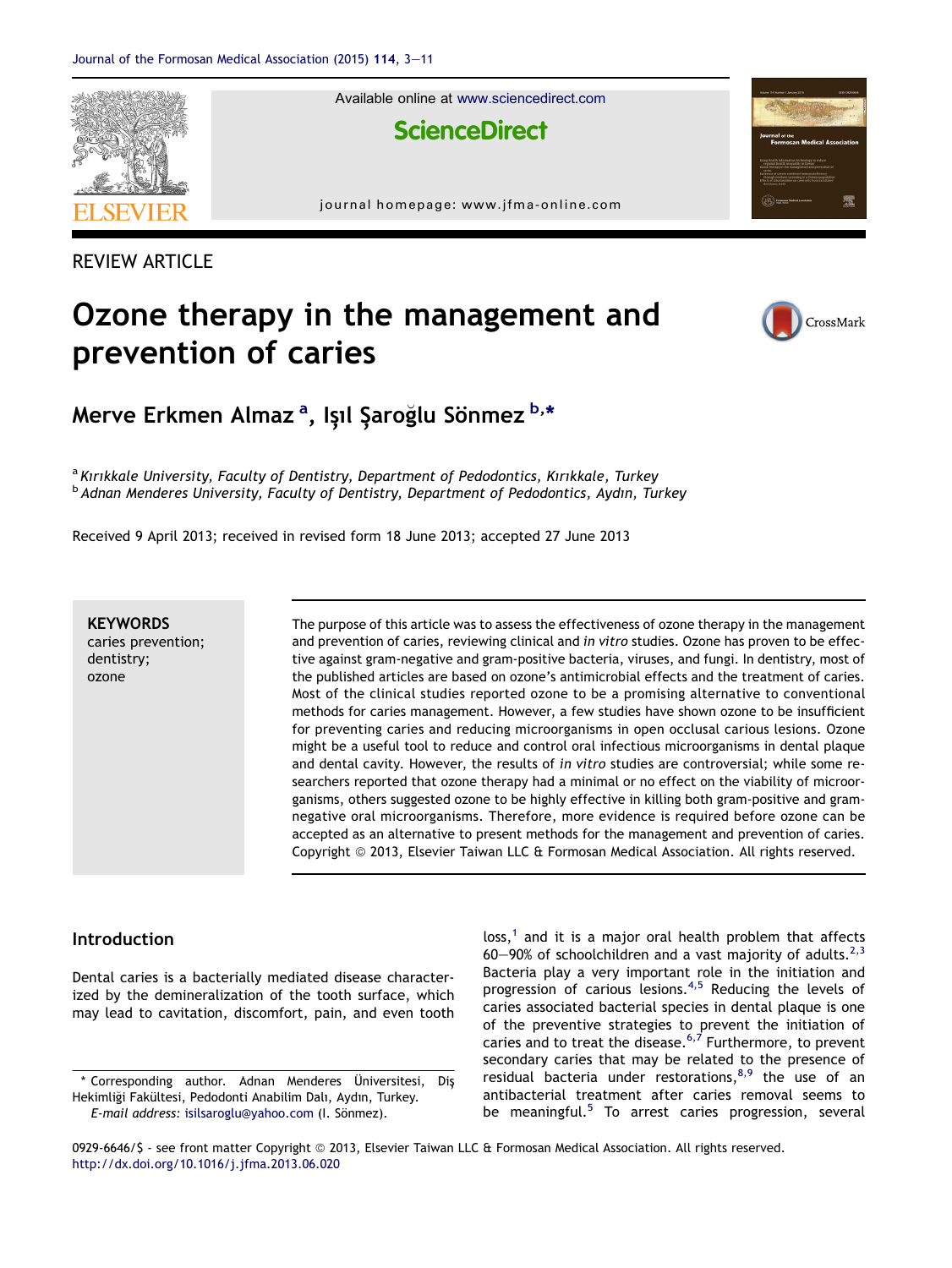

Available online at [www.sciencedirect.com](www.sciencedirect.com/science/journal/09296646)

**ScienceDirect** 

journal homepage: [www.jfma-online.com](http://www.jfma-online.com)

REVIEW ARTICLE

# Ozone therapy in the management and prevention of caries



# Merve Erkmen Almaz <sup>a</sup>, Işıl Şaroğlu Sönmez <sup>b,</sup>\*

a Kırıkkale University, Faculty of Dentistry, Department of Pedodontics, Kırıkkale, Turkey **b** Adnan Menderes University, Faculty of Dentistry, Department of Pedodontics, Aydın, Turkey

Received 9 April 2013; received in revised form 18 June 2013; accepted 27 June 2013

**KEYWORDS** caries prevention; dentistry; ozone

The purpose of this article was to assess the effectiveness of ozone therapy in the management and prevention of caries, reviewing clinical and in vitro studies. Ozone has proven to be effective against gram-negative and gram-positive bacteria, viruses, and fungi. In dentistry, most of the published articles are based on ozone's antimicrobial effects and the treatment of caries. Most of the clinical studies reported ozone to be a promising alternative to conventional methods for caries management. However, a few studies have shown ozone to be insufficient for preventing caries and reducing microorganisms in open occlusal carious lesions. Ozone might be a useful tool to reduce and control oral infectious microorganisms in dental plaque and dental cavity. However, the results of in vitro studies are controversial; while some researchers reported that ozone therapy had a minimal or no effect on the viability of microorganisms, others suggested ozone to be highly effective in killing both gram-positive and gramnegative oral microorganisms. Therefore, more evidence is required before ozone can be accepted as an alternative to present methods for the management and prevention of caries. Copyright © 2013, Elsevier Taiwan LLC & Formosan Medical Association. All rights reserved.

#### Introduction

Dental caries is a bacterially mediated disease characterized by the demineralization of the tooth surface, which may lead to cavitation, discomfort, pain, and even tooth

\* Corresponding author. Adnan Menderes Üniversitesi, Diş Hekimliği Fakültesi, Pedodonti Anabilim Dalı, Aydın, Turkey. E-mail address: [isilsaroglu@yahoo.com](mailto:isilsaroglu@yahoo.com) (I. Sönmez).

 $loss<sub>1</sub><sup>1</sup>$  $loss<sub>1</sub><sup>1</sup>$  $loss<sub>1</sub><sup>1</sup>$  and it is a major oral health problem that affects 60-90% of schoolchildren and a vast majority of adults.<sup>[2,3](#page-7-0)</sup> Bacteria play a very important role in the initiation and progression of carious lesions.[4,5](#page-7-0) Reducing the levels of caries associated bacterial species in dental plaque is one of the preventive strategies to prevent the initiation of caries and to treat the disease. $6,7$  Furthermore, to prevent secondary caries that may be related to the presence of residual bacteria under restorations, $8.9$  the use of an antibacterial treatment after caries removal seems to be meaningful.<sup>[5](#page-7-0)</sup> To arrest caries progression, several

0929-6646/\$ - see front matter Copyright @ 2013, Elsevier Taiwan LLC & Formosan Medical Association. All rights reserved. <http://dx.doi.org/10.1016/j.jfma.2013.06.020>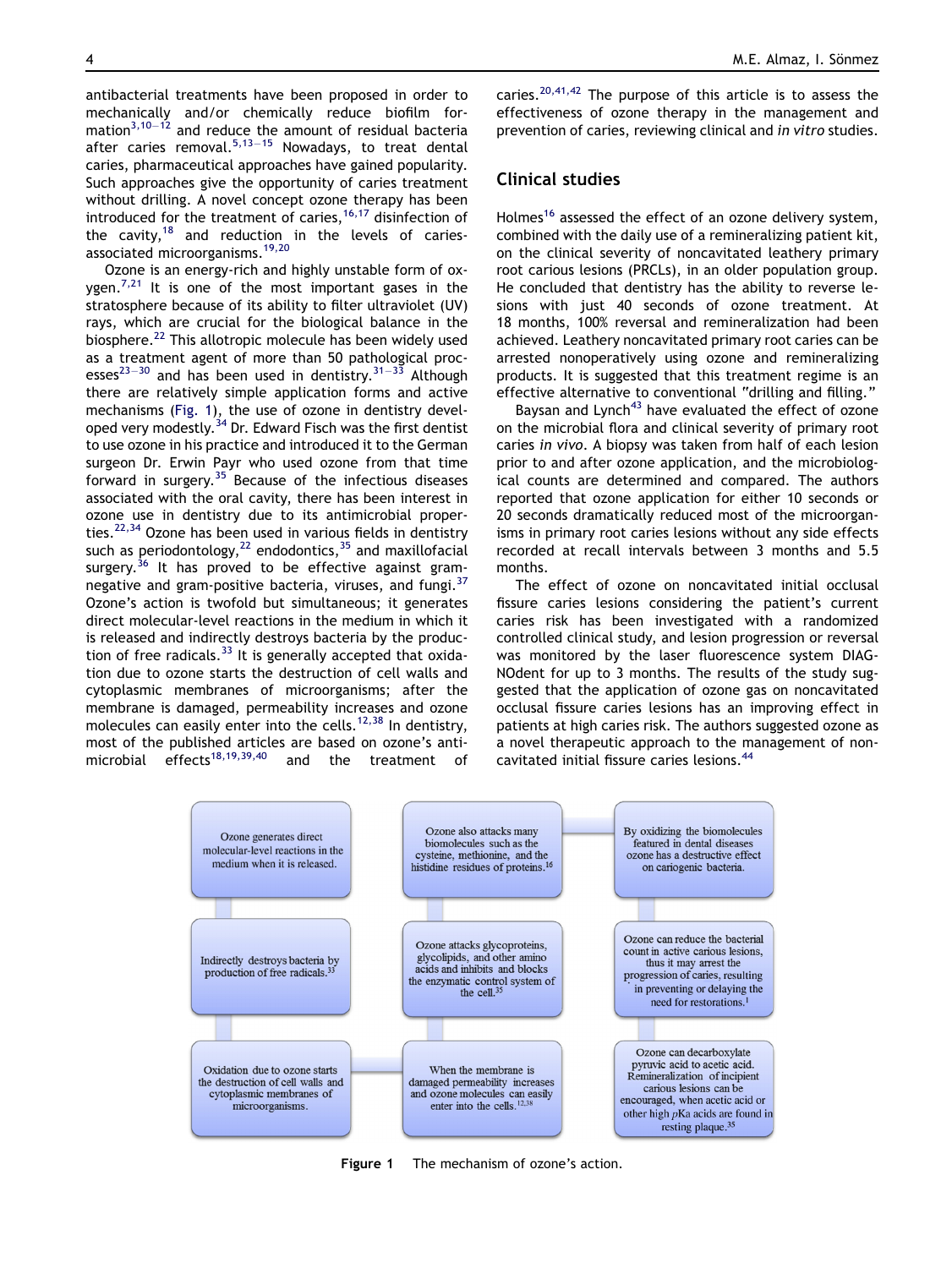antibacterial treatments have been proposed in order to mechanically and/or chemically reduce biofilm formation $3,10-12$  $3,10-12$  $3,10-12$  and reduce the amount of residual bacteria after caries removal. $5,13-15$  $5,13-15$  $5,13-15$  Nowadays, to treat dental caries, pharmaceutical approaches have gained popularity. Such approaches give the opportunity of caries treatment without drilling. A novel concept [ozone therapy](https://www.austinozone.com) has been introduced for the treatment of caries,  $16,17$  disinfection of the cavity, $18$  and reduction in the levels of cariesassociated microorganisms.[19,20](#page-7-0)

Ozone is an energy-rich and highly unstable form of ox-ygen.<sup>[7,21](#page-7-0)</sup> It is one of the most important gases in the stratosphere because of its ability to filter ultraviolet (UV) rays, which are crucial for the biological balance in the biosphere.<sup>22</sup> This allotropic molecule has been widely used as a treatment agent of more than 50 pathological proc-esses<sup>[23](#page-7-0)-[30](#page-7-0)</sup> and has been used in dentistry.<sup>[31](#page-7-0)-[33](#page-7-0)</sup> Although there are relatively simple application forms and active mechanisms (Fig. 1), the use of ozone in dentistry developed very modestly.<sup>34</sup> Dr. Edward Fisch was the first dentist to use ozone in his practice and introduced it to the German surgeon Dr. Erwin Payr who used ozone from that time forward in surgery.<sup>[35](#page-7-0)</sup> Because of the infectious diseases associated with the oral cavity, there has been interest in ozone use in dentistry due to its antimicrobial properties.[22,34](#page-7-0) Ozone has been used in various fields in dentistry such as periodontology, $^{22}$  $^{22}$  $^{22}$  endodontics, $^{35}$  $^{35}$  $^{35}$  and maxillofacial surgery.<sup>[36](#page-7-0)</sup> It has proved to be effective against gram-negative and gram-positive bacteria, viruses, and fungi.<sup>[37](#page-7-0)</sup> Ozone's action is twofold but simultaneous; it generates direct molecular-level reactions in the medium in which it is released and indirectly destroys bacteria by the produc-tion of free radicals.<sup>[33](#page-7-0)</sup> It is generally accepted that oxidation due to ozone starts the destruction of cell walls and cytoplasmic membranes of microorganisms; after the membrane is damaged, permeability increases and ozone molecules can easily enter into the cells.<sup>[12,38](#page-7-0)</sup> In dentistry, most of the published articles are based on ozone's anti-microbial effects<sup>[18,19,39,40](#page-7-0)</sup> and the treatment of

caries.<sup>[20,41,42](#page-7-0)</sup> The purpose of this article is to assess the effectiveness of ozone therapy in the management and prevention of caries, reviewing clinical and in vitro studies.

# Clinical studies

Holmes<sup>[16](#page-7-0)</sup> assessed the effect of an ozone delivery system, combined with the daily use of a remineralizing patient kit, on the clinical severity of noncavitated leathery primary root carious lesions (PRCLs), in an older population group. He concluded that dentistry has the ability to reverse lesions with just 40 seconds of ozone treatment. At 18 months, 100% reversal and remineralization had been achieved. Leathery noncavitated primary root caries can be arrested nonoperatively using ozone and remineralizing products. It is suggested that this treatment regime is an effective alternative to conventional "drilling and filling."

Baysan and Lynch<sup>[43](#page-7-0)</sup> have evaluated the effect of ozone on the microbial flora and clinical severity of primary root caries in vivo. A biopsy was taken from half of each lesion prior to and after ozone application, and the microbiological counts are determined and compared. The authors reported that ozone application for either 10 seconds or 20 seconds dramatically reduced most of the microorganisms in primary root caries lesions without any side effects recorded at recall intervals between 3 months and 5.5 months.

The effect of ozone on noncavitated initial occlusal fissure caries lesions considering the patient's current caries risk has been investigated with a randomized controlled clinical study, and lesion progression or reversal was monitored by the laser fluorescence system DIAG-NOdent for up to 3 months. The results of the study suggested that the application of ozone gas on noncavitated occlusal fissure caries lesions has an improving effect in patients at high caries risk. The authors suggested ozone as a novel therapeutic approach to the management of noncavitated initial fissure caries lesions.[44](#page-7-0)



Figure 1 The mechanism of ozone's action.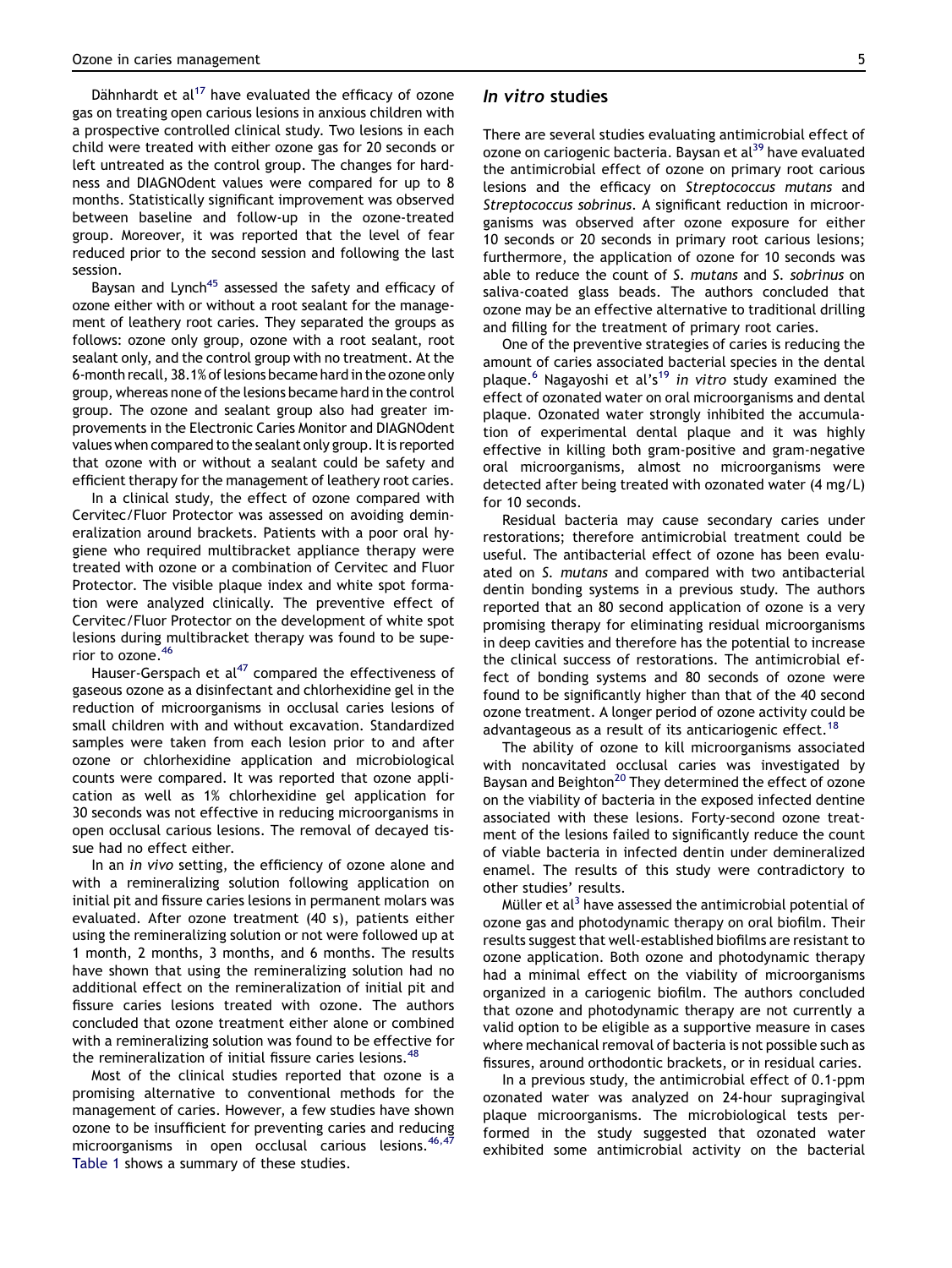Dähnhardt et al $17$  have evaluated the efficacy of ozone gas on treating open carious lesions in anxious children with a prospective controlled clinical study. Two lesions in each child were treated with either ozone gas for 20 seconds or left untreated as the control group. The changes for hardness and DIAGNOdent values were compared for up to 8 months. Statistically significant improvement was observed between baseline and follow-up in the ozone-treated group. Moreover, it was reported that the level of fear reduced prior to the second session and following the last session.

Baysan and Lynch<sup>45</sup> assessed the safety and efficacy of ozone either with or without a root sealant for the management of leathery root caries. They separated the groups as follows: ozone only group, ozone with a root sealant, root sealant only, and the control group with no treatment. At the 6-month recall, 38.1% of lesions became hard in the ozone only group, whereas none of the lesions became hard in the control group. The ozone and sealant group also had greater improvements in the Electronic Caries Monitor and DIAGNOdent values when compared to the sealant only group. It is reported that ozone with or without a sealant could be safety and efficient therapy for the management of leathery root caries.

In a clinical study, the effect of ozone compared with Cervitec/Fluor Protector was assessed on avoiding demineralization around brackets. Patients with a poor oral hygiene who required multibracket appliance therapy were treated with ozone or a combination of Cervitec and Fluor Protector. The visible plaque index and white spot formation were analyzed clinically. The preventive effect of Cervitec/Fluor Protector on the development of white spot lesions during multibracket therapy was found to be superior to ozone.<sup>46</sup>

Hauser-Gerspach et  $al^{47}$  $al^{47}$  $al^{47}$  compared the effectiveness of gaseous ozone as a disinfectant and chlorhexidine gel in the reduction of microorganisms in occlusal caries lesions of small children with and without excavation. Standardized samples were taken from each lesion prior to and after ozone or chlorhexidine application and microbiological counts were compared. It was reported that ozone application as well as 1% chlorhexidine gel application for 30 seconds was not effective in reducing microorganisms in open occlusal carious lesions. The removal of decayed tissue had no effect either.

In an in vivo setting, the efficiency of ozone alone and with a remineralizing solution following application on initial pit and fissure caries lesions in permanent molars was evaluated. After ozone treatment (40 s), patients either using the remineralizing solution or not were followed up at 1 month, 2 months, 3 months, and 6 months. The results have shown that using the remineralizing solution had no additional effect on the remineralization of initial pit and fissure caries lesions treated with ozone. The authors concluded that ozone treatment either alone or combined with a remineralizing solution was found to be effective for the remineralization of initial fissure caries lesions.<sup>[48](#page-8-0)</sup>

Most of the clinical studies reported that ozone is a promising alternative to conventional methods for the management of caries. However, a few studies have shown ozone to be insufficient for preventing caries and reducing microorganisms in open occlusal carious lesions.<sup>[46,47](#page-8-0)</sup> [Table 1](#page-3-0) shows a summary of these studies.

#### In vitro studies

There are several studies evaluating antimicrobial effect of ozone on cariogenic bacteria. Baysan et al<sup>[39](#page-7-0)</sup> have evaluated the antimicrobial effect of ozone on primary root carious lesions and the efficacy on Streptococcus mutans and Streptococcus sobrinus. A significant reduction in microorganisms was observed after ozone exposure for either 10 seconds or 20 seconds in primary root carious lesions; furthermore, the application of ozone for 10 seconds was able to reduce the count of S. mutans and S. sobrinus on saliva-coated glass beads. The authors concluded that ozone may be an effective alternative to traditional drilling and filling for the treatment of primary root caries.

One of the preventive strategies of caries is reducing the amount of caries associated bacterial species in the dental plaque.<sup>[6](#page-7-0)</sup> Nagayoshi et al's<sup>[19](#page-7-0)</sup> in vitro study examined the effect of ozonated water on oral microorganisms and dental plaque. Ozonated water strongly inhibited the accumulation of experimental dental plaque and it was highly effective in killing both gram-positive and gram-negative oral microorganisms, almost no microorganisms were detected after being treated with ozonated water (4 mg/L) for 10 seconds.

Residual bacteria may cause secondary caries under restorations; therefore antimicrobial treatment could be useful. The antibacterial effect of ozone has been evaluated on S. mutans and compared with two antibacterial dentin bonding systems in a previous study. The authors reported that an 80 second application of ozone is a very promising therapy for eliminating residual microorganisms in deep cavities and therefore has the potential to increase the clinical success of restorations. The antimicrobial effect of bonding systems and 80 seconds of ozone were found to be significantly higher than that of the 40 second ozone treatment. A longer period of ozone activity could be advantageous as a result of its anticariogenic effect.<sup>[18](#page-7-0)</sup>

The ability of ozone to kill microorganisms associated with noncavitated occlusal caries was investigated by Baysan and Beighton<sup>[20](#page-7-0)</sup> They determined the effect of ozone on the viability of bacteria in the exposed infected dentine associated with these lesions. Forty-second ozone treatment of the lesions failed to significantly reduce the count of viable bacteria in infected dentin under demineralized enamel. The results of this study were contradictory to other studies' results.

Müller et al<sup>[3](#page-7-0)</sup> have assessed the antimicrobial potential of ozone gas and photodynamic therapy on oral biofilm. Their results suggest that well-established biofilms are resistant to ozone application. Both ozone and photodynamic therapy had a minimal effect on the viability of microorganisms organized in a cariogenic biofilm. The authors concluded that ozone and photodynamic therapy are not currently a valid option to be eligible as a supportive measure in cases where mechanical removal of bacteria is not possible such as fissures, around orthodontic brackets, or in residual caries.

In a previous study, the antimicrobial effect of 0.1-ppm ozonated water was analyzed on 24-hour supragingival plaque microorganisms. The microbiological tests performed in the study suggested that ozonated water exhibited some antimicrobial activity on the bacterial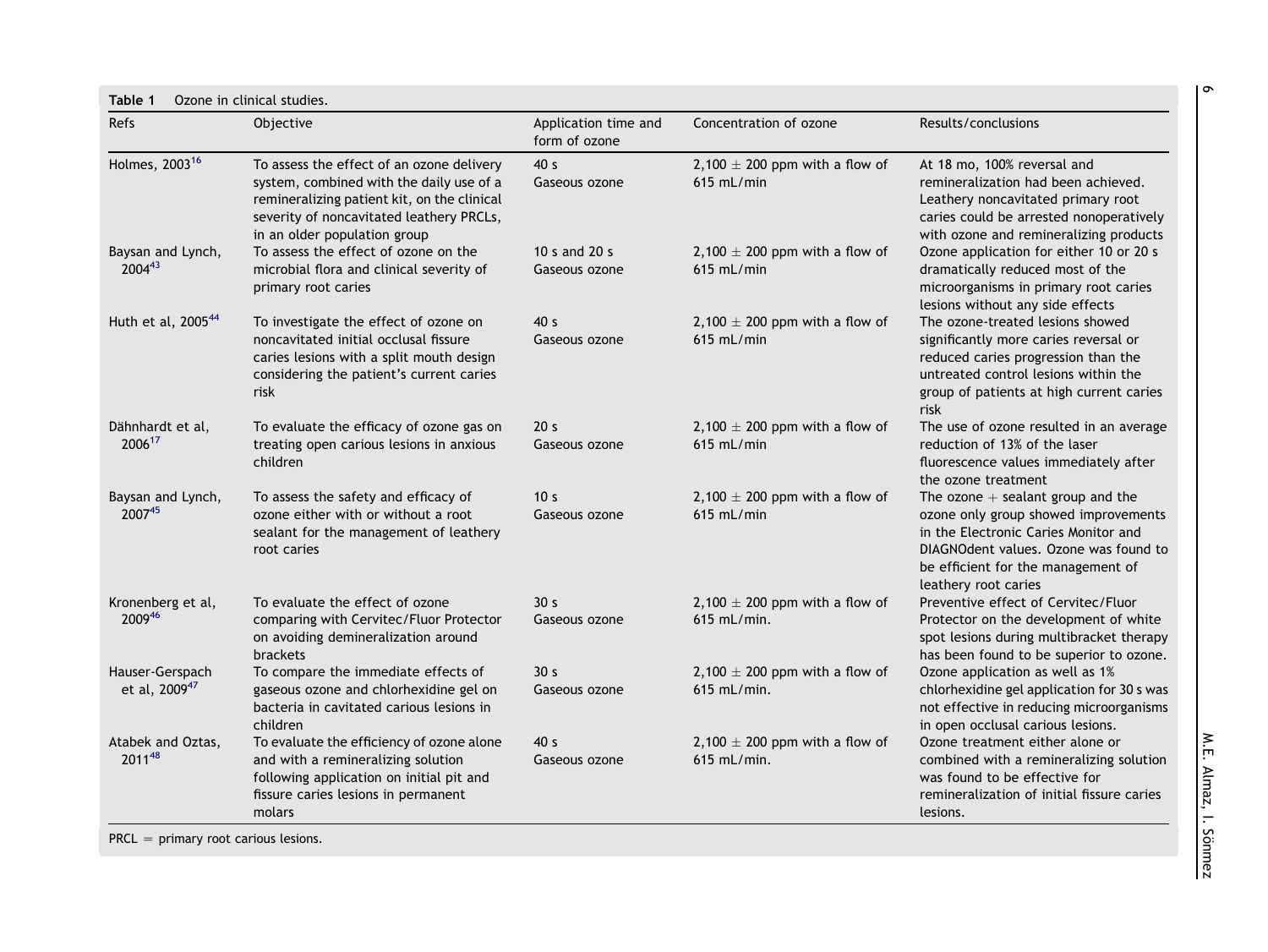<span id="page-3-0"></span>

| Refs                                         | Objective                                                                                                                                                                                                        | Application time and<br>form of ozone | Concentration of ozone                              | Results/conclusions                                                                                                                                                                                                        |
|----------------------------------------------|------------------------------------------------------------------------------------------------------------------------------------------------------------------------------------------------------------------|---------------------------------------|-----------------------------------------------------|----------------------------------------------------------------------------------------------------------------------------------------------------------------------------------------------------------------------------|
| Holmes, 2003 <sup>16</sup>                   | To assess the effect of an ozone delivery<br>system, combined with the daily use of a<br>remineralizing patient kit, on the clinical<br>severity of noncavitated leathery PRCLs,<br>in an older population group | 40 <sub>s</sub><br>Gaseous ozone      | 2,100 $\pm$ 200 ppm with a flow of<br>$615$ mL/min  | At 18 mo, 100% reversal and<br>remineralization had been achieved.<br>Leathery noncavitated primary root<br>caries could be arrested nonoperatively<br>with ozone and remineralizing products                              |
| Baysan and Lynch,<br>200443                  | To assess the effect of ozone on the<br>microbial flora and clinical severity of<br>primary root caries                                                                                                          | 10 s and 20 s<br>Gaseous ozone        | 2,100 $\pm$ 200 ppm with a flow of<br>$615$ mL/min  | Ozone application for either 10 or 20 s<br>dramatically reduced most of the<br>microorganisms in primary root caries<br>lesions without any side effects                                                                   |
| Huth et al, 2005 <sup>44</sup>               | To investigate the effect of ozone on<br>noncavitated initial occlusal fissure<br>caries lesions with a split mouth design<br>considering the patient's current caries<br>risk                                   | 40 <sub>s</sub><br>Gaseous ozone      | 2,100 $\pm$ 200 ppm with a flow of<br>$615$ mL/min  | The ozone-treated lesions showed<br>significantly more caries reversal or<br>reduced caries progression than the<br>untreated control lesions within the<br>group of patients at high current caries<br>risk               |
| Dähnhardt et al,<br>200617                   | To evaluate the efficacy of ozone gas on<br>treating open carious lesions in anxious<br>children                                                                                                                 | 20 <sub>s</sub><br>Gaseous ozone      | 2,100 $\pm$ 200 ppm with a flow of<br>$615$ mL/min  | The use of ozone resulted in an average<br>reduction of 13% of the laser<br>fluorescence values immediately after<br>the ozone treatment                                                                                   |
| Baysan and Lynch,<br>2007 <sup>45</sup>      | To assess the safety and efficacy of<br>ozone either with or without a root<br>sealant for the management of leathery<br>root caries                                                                             | 10 <sub>s</sub><br>Gaseous ozone      | 2,100 $\pm$ 200 ppm with a flow of<br>$615$ mL/min  | The ozone $+$ sealant group and the<br>ozone only group showed improvements<br>in the Electronic Caries Monitor and<br>DIAGNOdent values. Ozone was found to<br>be efficient for the management of<br>leathery root caries |
| Kronenberg et al,<br>2009 <sup>46</sup>      | To evaluate the effect of ozone<br>comparing with Cervitec/Fluor Protector<br>on avoiding demineralization around<br><b>brackets</b>                                                                             | 30 <sub>s</sub><br>Gaseous ozone      | $2,100 \pm 200$ ppm with a flow of<br>$615$ mL/min. | Preventive effect of Cervitec/Fluor<br>Protector on the development of white<br>spot lesions during multibracket therapy<br>has been found to be superior to ozone.                                                        |
| Hauser-Gerspach<br>et al, 2009 <sup>47</sup> | To compare the immediate effects of<br>gaseous ozone and chlorhexidine gel on<br>bacteria in cavitated carious lesions in<br>children                                                                            | 30 <sub>s</sub><br>Gaseous ozone      | 2,100 $\pm$ 200 ppm with a flow of<br>$615$ mL/min. | Ozone application as well as 1%<br>chlorhexidine gel application for 30 s was<br>not effective in reducing microorganisms<br>in open occlusal carious lesions.                                                             |
| Atabek and Oztas,<br>201148                  | To evaluate the efficiency of ozone alone<br>and with a remineralizing solution<br>following application on initial pit and<br>fissure caries lesions in permanent<br>molars                                     | 40 <sub>s</sub><br>Gaseous ozone      | 2,100 $\pm$ 200 ppm with a flow of<br>$615$ mL/min. | Ozone treatment either alone or<br>combined with a remineralizing solution<br>was found to be effective for<br>remineralization of initial fissure caries<br>lesions.                                                      |

 $PRCL = primary root$  carious lesions.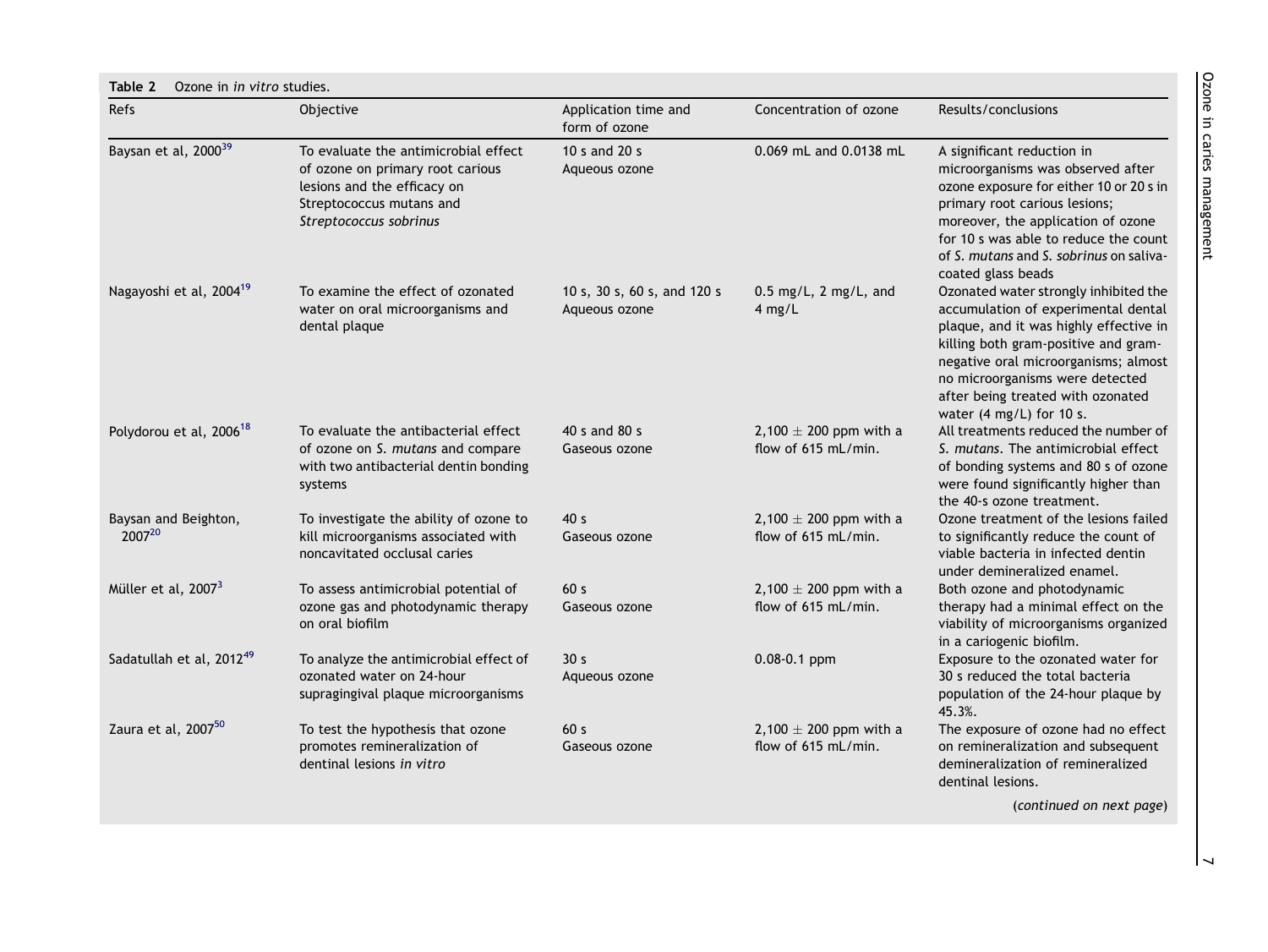Table 2 Ozone in *in vitro* studies.

<span id="page-4-0"></span>

| Refs                                 | Objective                                                                                                                                                     | Application time and<br>form of ozone        | Concentration of ozone                            | Results/conclusions                                                                                                                                                                                                                                                                                        |
|--------------------------------------|---------------------------------------------------------------------------------------------------------------------------------------------------------------|----------------------------------------------|---------------------------------------------------|------------------------------------------------------------------------------------------------------------------------------------------------------------------------------------------------------------------------------------------------------------------------------------------------------------|
| Baysan et al, 2000 <sup>39</sup>     | To evaluate the antimicrobial effect<br>of ozone on primary root carious<br>lesions and the efficacy on<br>Streptococcus mutans and<br>Streptococcus sobrinus | 10 s and 20 s<br>Aqueous ozone               | 0.069 mL and 0.0138 mL                            | A significant reduction in<br>microorganisms was observed after<br>ozone exposure for either 10 or 20 s in<br>primary root carious lesions;<br>moreover, the application of ozone<br>for 10 s was able to reduce the count<br>of S. mutans and S. sobrinus on saliva-<br>coated glass beads                |
| Nagayoshi et al, 2004 <sup>19</sup>  | To examine the effect of ozonated<br>water on oral microorganisms and<br>dental plaque                                                                        | 10 s, 30 s, 60 s, and 120 s<br>Aqueous ozone | $0.5$ mg/L, 2 mg/L, and<br>$4$ mg/L               | Ozonated water strongly inhibited the<br>accumulation of experimental dental<br>plaque, and it was highly effective in<br>killing both gram-positive and gram-<br>negative oral microorganisms; almost<br>no microorganisms were detected<br>after being treated with ozonated<br>water (4 mg/L) for 10 s. |
| Polydorou et al, 2006 <sup>18</sup>  | To evaluate the antibacterial effect<br>of ozone on S. mutans and compare<br>with two antibacterial dentin bonding<br>systems                                 | 40 s and 80 s<br>Gaseous ozone               | 2,100 $\pm$ 200 ppm with a<br>flow of 615 mL/min. | All treatments reduced the number of<br>S. mutans. The antimicrobial effect<br>of bonding systems and 80 s of ozone<br>were found significantly higher than<br>the 40-s ozone treatment.                                                                                                                   |
| Baysan and Beighton,<br>200720       | To investigate the ability of ozone to<br>kill microorganisms associated with<br>noncavitated occlusal caries                                                 | 40 <sub>s</sub><br>Gaseous ozone             | 2,100 $\pm$ 200 ppm with a<br>flow of 615 mL/min. | Ozone treatment of the lesions failed<br>to significantly reduce the count of<br>viable bacteria in infected dentin<br>under demineralized enamel.                                                                                                                                                         |
| Müller et al, 2007 <sup>3</sup>      | To assess antimicrobial potential of<br>ozone gas and photodynamic therapy<br>on oral biofilm                                                                 | 60 <sub>s</sub><br>Gaseous ozone             | 2,100 $\pm$ 200 ppm with a<br>flow of 615 mL/min. | Both ozone and photodynamic<br>therapy had a minimal effect on the<br>viability of microorganisms organized<br>in a cariogenic biofilm.                                                                                                                                                                    |
| Sadatullah et al, 2012 <sup>49</sup> | To analyze the antimicrobial effect of<br>ozonated water on 24-hour<br>supragingival plaque microorganisms                                                    | 30 <sub>s</sub><br>Aqueous ozone             | $0.08 - 0.1$ ppm                                  | Exposure to the ozonated water for<br>30 s reduced the total bacteria<br>population of the 24-hour plaque by<br>45.3%.                                                                                                                                                                                     |
| Zaura et al, 2007 <sup>50</sup>      | To test the hypothesis that ozone<br>promotes remineralization of<br>dentinal lesions in vitro                                                                | 60 <sub>s</sub><br>Gaseous ozone             | 2,100 $\pm$ 200 ppm with a<br>flow of 615 mL/min. | The exposure of ozone had no effect<br>on remineralization and subsequent<br>demineralization of remineralized<br>dentinal lesions.<br>(continued on next page)                                                                                                                                            |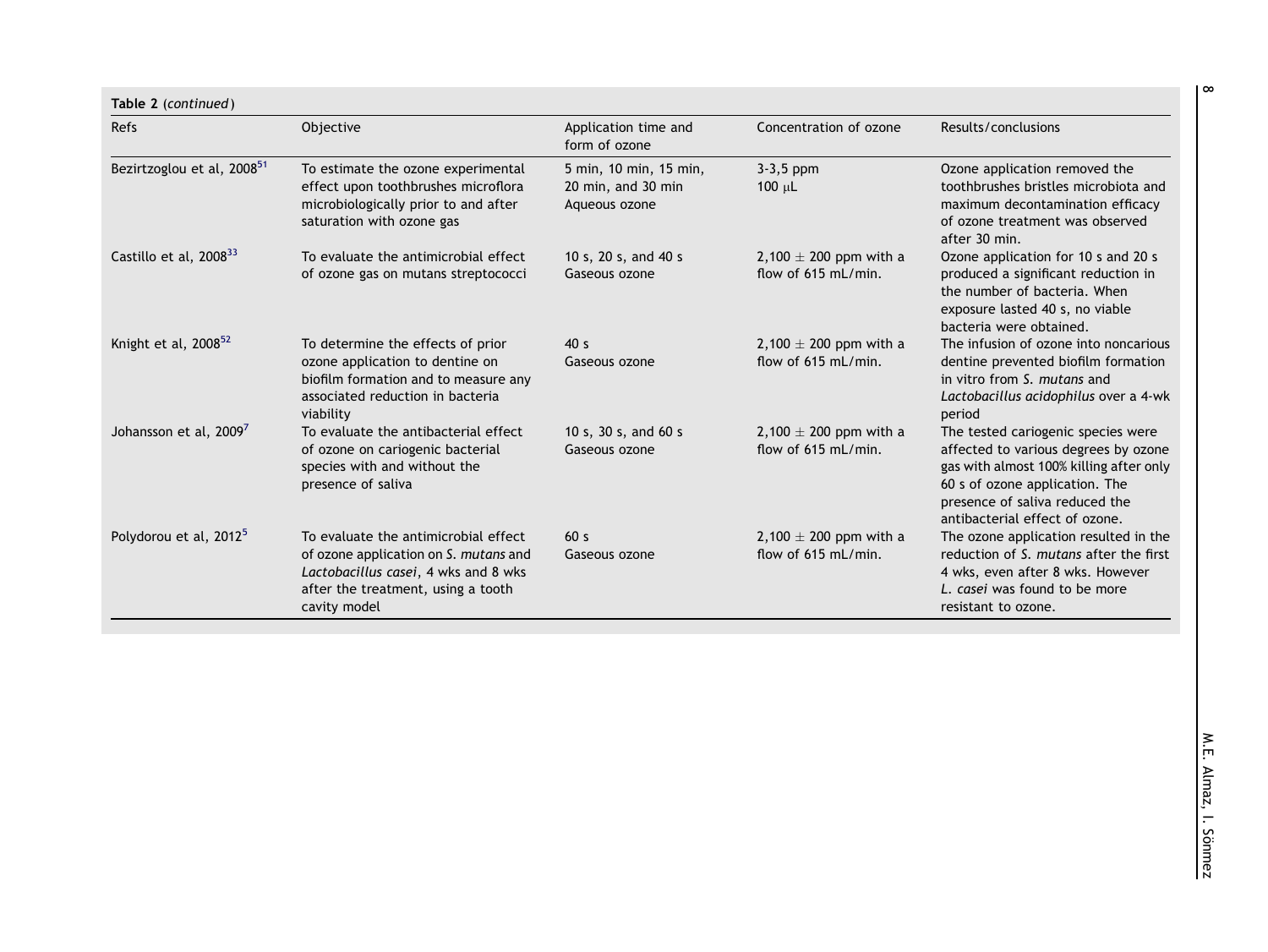| Table 2 (continued)                    |                                                                                                                                                                             |                                                               |                                                     |                                                                                                                                                                                                                             |  |  |
|----------------------------------------|-----------------------------------------------------------------------------------------------------------------------------------------------------------------------------|---------------------------------------------------------------|-----------------------------------------------------|-----------------------------------------------------------------------------------------------------------------------------------------------------------------------------------------------------------------------------|--|--|
| <b>Refs</b>                            | Objective                                                                                                                                                                   | Application time and<br>form of ozone                         | Concentration of ozone                              | Results/conclusions                                                                                                                                                                                                         |  |  |
| Bezirtzoglou et al, 2008 <sup>51</sup> | To estimate the ozone experimental<br>effect upon toothbrushes microflora<br>microbiologically prior to and after<br>saturation with ozone gas                              | 5 min, 10 min, 15 min,<br>20 min, and 30 min<br>Aqueous ozone | $3-3,5$ ppm<br>100 $\mu$ L                          | Ozone application removed the<br>toothbrushes bristles microbiota and<br>maximum decontamination efficacy<br>of ozone treatment was observed<br>after 30 min.                                                               |  |  |
| Castillo et al, 2008 <sup>33</sup>     | To evaluate the antimicrobial effect<br>of ozone gas on mutans streptococci                                                                                                 | 10 s, 20 s, and 40 s<br>Gaseous ozone                         | 2,100 $\pm$ 200 ppm with a<br>flow of $615$ mL/min. | Ozone application for 10 s and 20 s<br>produced a significant reduction in<br>the number of bacteria. When<br>exposure lasted 40 s, no viable<br>bacteria were obtained.                                                    |  |  |
| Knight et al, 2008 <sup>52</sup>       | To determine the effects of prior<br>ozone application to dentine on<br>biofilm formation and to measure any<br>associated reduction in bacteria<br>viability               | 40 <sub>s</sub><br>Gaseous ozone                              | 2,100 $\pm$ 200 ppm with a<br>flow of 615 mL/min.   | The infusion of ozone into noncarious<br>dentine prevented biofilm formation<br>in vitro from S. mutans and<br>Lactobacillus acidophilus over a 4-wk<br>period                                                              |  |  |
| Johansson et al, 2009 <sup>7</sup>     | To evaluate the antibacterial effect<br>of ozone on cariogenic bacterial<br>species with and without the<br>presence of saliva                                              | 10 s, 30 s, and 60 s<br>Gaseous ozone                         | 2,100 $\pm$ 200 ppm with a<br>flow of 615 mL/min.   | The tested cariogenic species were<br>affected to various degrees by ozone<br>gas with almost 100% killing after only<br>60 s of ozone application. The<br>presence of saliva reduced the<br>antibacterial effect of ozone. |  |  |
| Polydorou et al, 2012 <sup>5</sup>     | To evaluate the antimicrobial effect<br>of ozone application on S. mutans and<br>Lactobacillus casei, 4 wks and 8 wks<br>after the treatment, using a tooth<br>cavity model | 60 <sub>s</sub><br>Gaseous ozone                              | 2,100 $\pm$ 200 ppm with a<br>flow of 615 mL/min.   | The ozone application resulted in the<br>reduction of S. mutans after the first<br>4 wks, even after 8 wks. However<br>L. casej was found to be more<br>resistant to ozone.                                                 |  |  |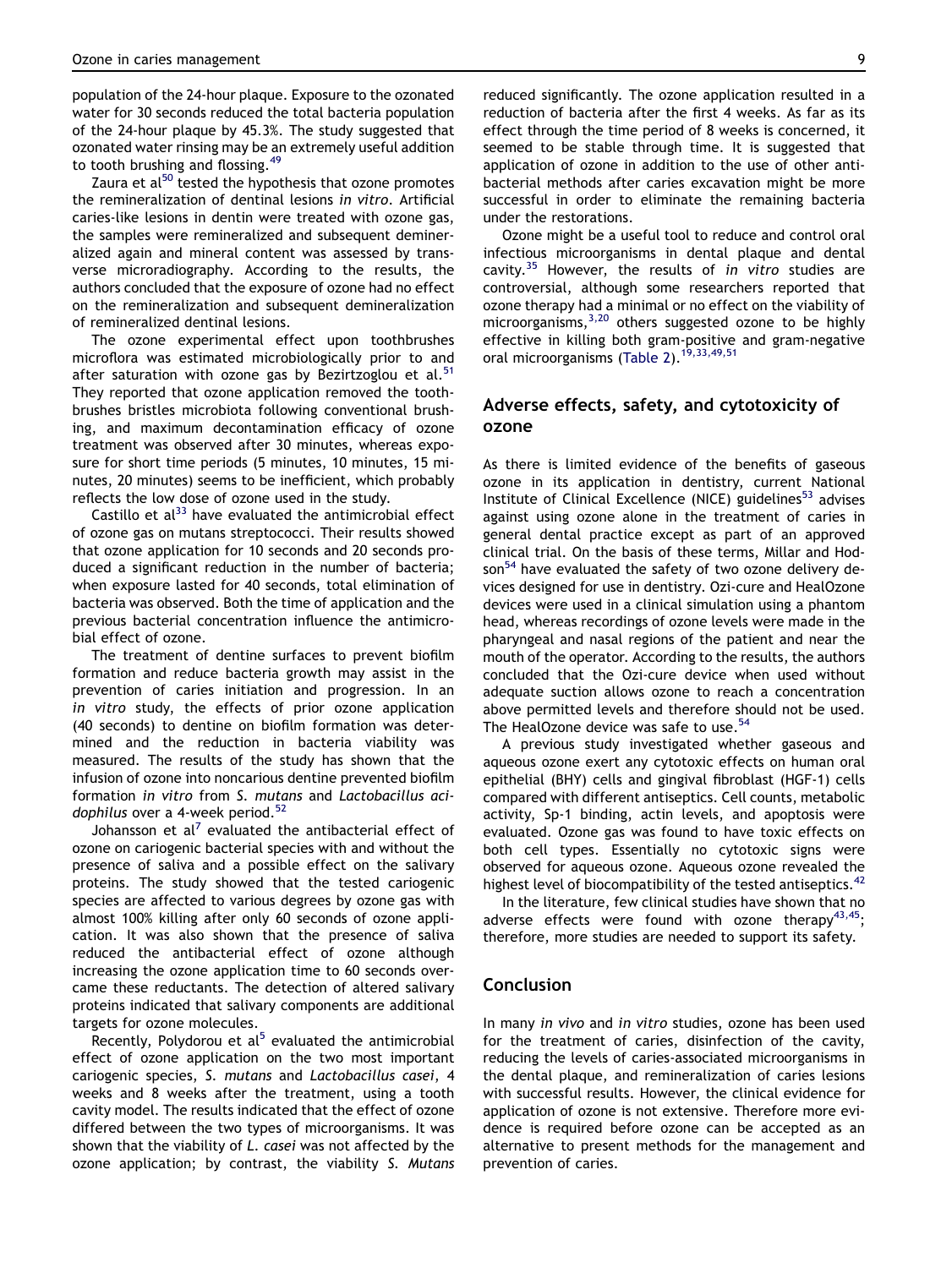population of the 24-hour plaque. Exposure to the ozonated water for 30 seconds reduced the total bacteria population of the 24-hour plaque by 45.3%. The study suggested that ozonated water rinsing may be an extremely useful addition to tooth brushing and flossing.<sup>[49](#page-8-0)</sup>

Zaura et al $50$  tested the hypothesis that ozone promotes the remineralization of dentinal lesions in vitro. Artificial caries-like lesions in dentin were treated with ozone gas, the samples were remineralized and subsequent demineralized again and mineral content was assessed by transverse microradiography. According to the results, the authors concluded that the exposure of ozone had no effect on the remineralization and subsequent demineralization of remineralized dentinal lesions.

The ozone experimental effect upon toothbrushes microflora was estimated microbiologically prior to and after saturation with ozone gas by Bezirtzoglou et al.<sup>[51](#page-8-0)</sup> They reported that ozone application removed the toothbrushes bristles microbiota following conventional brushing, and maximum decontamination efficacy of ozone treatment was observed after 30 minutes, whereas exposure for short time periods (5 minutes, 10 minutes, 15 minutes, 20 minutes) seems to be inefficient, which probably reflects the low dose of ozone used in the study.

Castillo et  $a^{33}$  $a^{33}$  $a^{33}$  have evaluated the antimicrobial effect of ozone gas on mutans streptococci. Their results showed that ozone application for 10 seconds and 20 seconds produced a significant reduction in the number of bacteria; when exposure lasted for 40 seconds, total elimination of bacteria was observed. Both the time of application and the previous bacterial concentration influence the antimicrobial effect of ozone.

The treatment of dentine surfaces to prevent biofilm formation and reduce bacteria growth may assist in the prevention of caries initiation and progression. In an in vitro study, the effects of prior ozone application (40 seconds) to dentine on biofilm formation was determined and the reduction in bacteria viability was measured. The results of the study has shown that the infusion of ozone into noncarious dentine prevented biofilm formation in vitro from S. mutans and Lactobacillus aci-dophilus over a 4-week period.<sup>[52](#page-8-0)</sup>

Johansson et al<sup>[7](#page-7-0)</sup> evaluated the antibacterial effect of ozone on cariogenic bacterial species with and without the presence of saliva and a possible effect on the salivary proteins. The study showed that the tested cariogenic species are affected to various degrees by ozone gas with almost 100% killing after only 60 seconds of ozone application. It was also shown that the presence of saliva reduced the antibacterial effect of ozone although increasing the ozone application time to 60 seconds overcame these reductants. The detection of altered salivary proteins indicated that salivary components are additional targets for ozone molecules.

Recently, Polydorou et  $al<sup>5</sup>$  $al<sup>5</sup>$  $al<sup>5</sup>$  evaluated the antimicrobial effect of ozone application on the two most important cariogenic species, S. mutans and Lactobacillus casei, 4 weeks and 8 weeks after the treatment, using a tooth cavity model. The results indicated that the effect of ozone differed between the two types of microorganisms. It was shown that the viability of L. casei was not affected by the ozone application; by contrast, the viability S. Mutans reduced significantly. The ozone application resulted in a reduction of bacteria after the first 4 weeks. As far as its effect through the time period of 8 weeks is concerned, it seemed to be stable through time. It is suggested that application of ozone in addition to the use of other antibacterial methods after caries excavation might be more successful in order to eliminate the remaining bacteria under the restorations.

Ozone might be a useful tool to reduce and control oral infectious microorganisms in dental plaque and dental cavity.<sup>[35](#page-7-0)</sup> However, the results of in vitro studies are controversial, although some researchers reported that ozone therapy had a minimal or no effect on the viability of microorganisms,[3,20](#page-7-0) others suggested ozone to be highly effective in killing both gram-positive and gram-negative oral microorganisms ([Table 2\)](#page-4-0).<sup>19,33,49,51</sup>

# Adverse effects, safety, and cytotoxicity of ozone

As there is limited evidence of the benefits of gaseous ozone in its application in dentistry, current National Institute of Clinical Excellence (NICE) guidelines<sup>[53](#page-8-0)</sup> advises against using ozone alone in the treatment of caries in general dental practice except as part of an approved clinical trial. On the basis of these terms, Millar and Hod-son<sup>[54](#page-8-0)</sup> have evaluated the safety of two ozone delivery devices designed for use in dentistry. Ozi-cure and HealOzone devices were used in a clinical simulation using a phantom head, whereas recordings of ozone levels were made in the pharyngeal and nasal regions of the patient and near the mouth of the operator. According to the results, the authors concluded that the Ozi-cure device when used without adequate suction allows ozone to reach a concentration above permitted levels and therefore should not be used. The HealOzone device was safe to use.<sup>54</sup>

A previous study investigated whether gaseous and aqueous ozone exert any cytotoxic effects on human oral epithelial (BHY) cells and gingival fibroblast (HGF-1) cells compared with different antiseptics. Cell counts, metabolic activity, Sp-1 binding, actin levels, and apoptosis were evaluated. Ozone gas was found to have toxic effects on both cell types. Essentially no cytotoxic signs were observed for aqueous ozone. Aqueous ozone revealed the highest level of biocompatibility of the tested antiseptics.<sup>[42](#page-7-0)</sup>

In the literature, few clinical studies have shown that no adverse effects were found with ozone therapy<sup>[43,45](#page-7-0)</sup>; therefore, more studies are needed to support its safety.

#### Conclusion

In many in vivo and in vitro studies, ozone has been used for the treatment of caries, disinfection of the cavity, reducing the levels of caries-associated microorganisms in the dental plaque, and remineralization of caries lesions with successful results. However, the clinical evidence for application of ozone is not extensive. Therefore more evidence is required before ozone can be accepted as an alternative to present methods for the management and prevention of caries.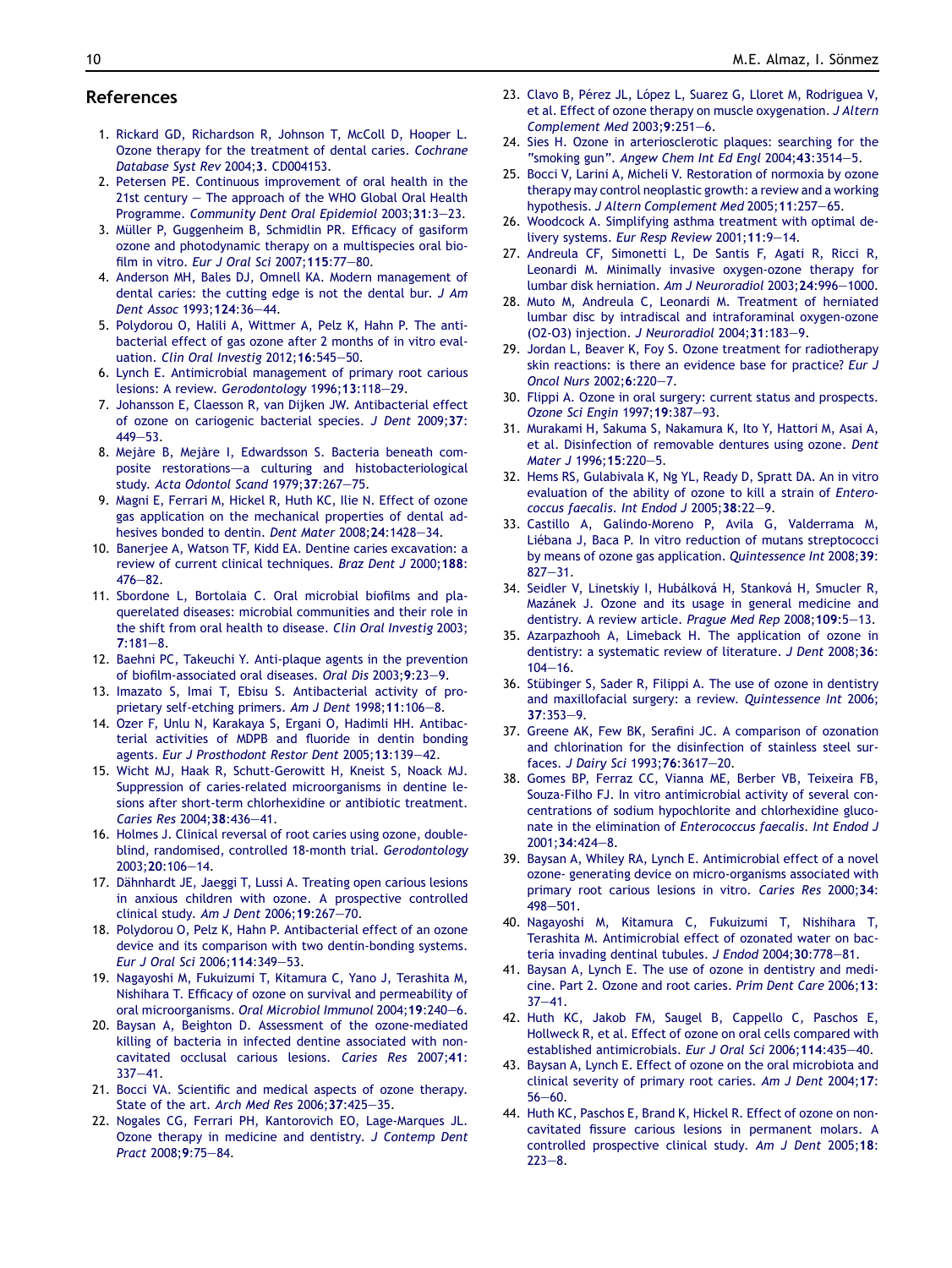### <span id="page-7-0"></span>References

- 1. [Rickard GD, Richardson R, Johnson T, McColl D, Hooper L.](http://refhub.elsevier.com/S0929-6646(13)00224-6/sref1) [Ozone therapy for the treatment of dental caries.](http://refhub.elsevier.com/S0929-6646(13)00224-6/sref1) Cochrane [Database Syst Rev](http://refhub.elsevier.com/S0929-6646(13)00224-6/sref1) 2004;3. CD004153.
- 2. [Petersen PE. Continuous improvement of oral health in the](http://refhub.elsevier.com/S0929-6646(13)00224-6/sref2) [21st century](http://refhub.elsevier.com/S0929-6646(13)00224-6/sref2)  $-$  [The approach of the WHO Global Oral Health](http://refhub.elsevier.com/S0929-6646(13)00224-6/sref2) Programme. [Community Dent Oral Epidemiol](http://refhub.elsevier.com/S0929-6646(13)00224-6/sref2) 2003;31:3-[23.](http://refhub.elsevier.com/S0929-6646(13)00224-6/sref2)
- 3. Müller P, Guggenheim B, Schmidlin PR. Efficacy of gasiform [ozone and photodynamic therapy on a multispecies oral bio-](http://refhub.elsevier.com/S0929-6646(13)00224-6/sref3)film in vitro. [Eur J Oral Sci](http://refhub.elsevier.com/S0929-6646(13)00224-6/sref3) 2007;115:77-[80](http://refhub.elsevier.com/S0929-6646(13)00224-6/sref3).
- 4. [Anderson MH, Bales DJ, Omnell KA. Modern management of](http://refhub.elsevier.com/S0929-6646(13)00224-6/sref4) [dental caries: the cutting edge is not the dental bur.](http://refhub.elsevier.com/S0929-6646(13)00224-6/sref4) J Am [Dent Assoc](http://refhub.elsevier.com/S0929-6646(13)00224-6/sref4) 1993:124:36-[44](http://refhub.elsevier.com/S0929-6646(13)00224-6/sref4).
- 5. [Polydorou O, Halili A, Wittmer A, Pelz K, Hahn P. The anti](http://refhub.elsevier.com/S0929-6646(13)00224-6/sref5)[bacterial effect of gas ozone after 2 months of in vitro eval-](http://refhub.elsevier.com/S0929-6646(13)00224-6/sref5)uation. [Clin Oral Investig](http://refhub.elsevier.com/S0929-6646(13)00224-6/sref5)  $2012; 16:545-50$ .
- 6. [Lynch E. Antimicrobial management of primary root carious](http://refhub.elsevier.com/S0929-6646(13)00224-6/sref6) [lesions: A review.](http://refhub.elsevier.com/S0929-6646(13)00224-6/sref6) Gerodontology 1996;13:118-[29.](http://refhub.elsevier.com/S0929-6646(13)00224-6/sref6)
- 7. [Johansson E, Claesson R, van Dijken JW. Antibacterial effect](http://refhub.elsevier.com/S0929-6646(13)00224-6/sref7) [of ozone on cariogenic bacterial species.](http://refhub.elsevier.com/S0929-6646(13)00224-6/sref7) J Dent 2009;37:  $449 - 53.$  $449 - 53.$  $449 - 53.$  $449 - 53.$
- 8. Mejàre B, Mejàre I, Edwardsson S. Bacteria beneath com[posite restorations](http://refhub.elsevier.com/S0929-6646(13)00224-6/sref8)-[a culturing and histobacteriological](http://refhub.elsevier.com/S0929-6646(13)00224-6/sref8) study. [Acta Odontol Scand](http://refhub.elsevier.com/S0929-6646(13)00224-6/sref8) 1979;37:267-[75.](http://refhub.elsevier.com/S0929-6646(13)00224-6/sref8)
- 9. [Magni E, Ferrari M, Hickel R, Huth KC, Ilie N. Effect of ozone](http://refhub.elsevier.com/S0929-6646(13)00224-6/sref9) [gas application on the mechanical properties of dental ad](http://refhub.elsevier.com/S0929-6646(13)00224-6/sref9)[hesives bonded to dentin.](http://refhub.elsevier.com/S0929-6646(13)00224-6/sref9) Dent Mater 2008;24:1428-[34.](http://refhub.elsevier.com/S0929-6646(13)00224-6/sref9)
- 10. [Banerjee A, Watson TF, Kidd EA. Dentine caries excavation: a](http://refhub.elsevier.com/S0929-6646(13)00224-6/sref10) [review of current clinical techniques.](http://refhub.elsevier.com/S0929-6646(13)00224-6/sref10) Braz Dent J 2000;188:  $476 - 82.$  $476 - 82.$  $476 - 82.$
- 11. [Sbordone L, Bortolaia C. Oral microbial biofilms and pla](http://refhub.elsevier.com/S0929-6646(13)00224-6/sref11)[querelated diseases: microbial communities and their role in](http://refhub.elsevier.com/S0929-6646(13)00224-6/sref11) [the shift from oral health to disease.](http://refhub.elsevier.com/S0929-6646(13)00224-6/sref11) Clin Oral Investig 2003;  $7.181 - 8$
- 12. [Baehni PC, Takeuchi Y. Anti-plaque agents in the prevention](http://refhub.elsevier.com/S0929-6646(13)00224-6/sref12) [of biofilm-associated oral diseases.](http://refhub.elsevier.com/S0929-6646(13)00224-6/sref12) Oral Dis 2003;9:23-[9.](http://refhub.elsevier.com/S0929-6646(13)00224-6/sref12)
- 13. [Imazato S, Imai T, Ebisu S. Antibacterial activity of pro](http://refhub.elsevier.com/S0929-6646(13)00224-6/sref13)[prietary self-etching primers.](http://refhub.elsevier.com/S0929-6646(13)00224-6/sref13) Am J Dent 199[8](http://refhub.elsevier.com/S0929-6646(13)00224-6/sref13);11:106-8.
- 14. [Ozer F, Unlu N, Karakaya S, Ergani O, Hadimli HH. Antibac](http://refhub.elsevier.com/S0929-6646(13)00224-6/sref14)[terial activities of MDPB and fluoride in dentin bonding](http://refhub.elsevier.com/S0929-6646(13)00224-6/sref14) agents. [Eur J Prosthodont Restor Dent](http://refhub.elsevier.com/S0929-6646(13)00224-6/sref14) 2005;13:139-[42.](http://refhub.elsevier.com/S0929-6646(13)00224-6/sref14)
- 15. [Wicht MJ, Haak R, Schutt-Gerowitt H, Kneist S, Noack MJ.](http://refhub.elsevier.com/S0929-6646(13)00224-6/sref15) [Suppression of caries-related microorganisms in dentine le](http://refhub.elsevier.com/S0929-6646(13)00224-6/sref15)[sions after short-term chlorhexidine or antibiotic treatment.](http://refhub.elsevier.com/S0929-6646(13)00224-6/sref15) [Caries Res](http://refhub.elsevier.com/S0929-6646(13)00224-6/sref15) 2004;38:436-[41](http://refhub.elsevier.com/S0929-6646(13)00224-6/sref15).
- 16. [Holmes J. Clinical reversal of root caries using ozone, double](http://refhub.elsevier.com/S0929-6646(13)00224-6/sref16)[blind, randomised, controlled 18-month trial.](http://refhub.elsevier.com/S0929-6646(13)00224-6/sref16) Gerodontology  $2003;20:106 - 14.$  $2003;20:106 - 14.$  $2003;20:106 - 14.$  $2003;20:106 - 14.$
- 17. Dähnhardt JE, Jaeggi T, Lussi A. Treating open carious lesions [in anxious children with ozone. A prospective controlled](http://refhub.elsevier.com/S0929-6646(13)00224-6/sref17) [clinical study.](http://refhub.elsevier.com/S0929-6646(13)00224-6/sref17) Am J Dent  $2006; 19:267-70$  $2006; 19:267-70$ .
- 18. [Polydorou O, Pelz K, Hahn P. Antibacterial effect of an ozone](http://refhub.elsevier.com/S0929-6646(13)00224-6/sref18) [device and its comparison with two dentin-bonding systems.](http://refhub.elsevier.com/S0929-6646(13)00224-6/sref18) [Eur J Oral Sci](http://refhub.elsevier.com/S0929-6646(13)00224-6/sref18) 2006;114:349-[53.](http://refhub.elsevier.com/S0929-6646(13)00224-6/sref18)
- 19. [Nagayoshi M, Fukuizumi T, Kitamura C, Yano J, Terashita M,](http://refhub.elsevier.com/S0929-6646(13)00224-6/sref19) [Nishihara T. Efficacy of ozone on survival and permeability of](http://refhub.elsevier.com/S0929-6646(13)00224-6/sref19) oral microorganisms. [Oral Microbiol Immunol](http://refhub.elsevier.com/S0929-6646(13)00224-6/sref19) 2004;19:240-[6.](http://refhub.elsevier.com/S0929-6646(13)00224-6/sref19)
- 20. [Baysan A, Beighton D. Assessment of the ozone-mediated](http://refhub.elsevier.com/S0929-6646(13)00224-6/sref20) [killing of bacteria in infected dentine associated with non](http://refhub.elsevier.com/S0929-6646(13)00224-6/sref20)[cavitated occlusal carious lesions.](http://refhub.elsevier.com/S0929-6646(13)00224-6/sref20) Caries Res 2007;41:  $337 - 41$  $337 - 41$ .
- 21. [Bocci VA. Scientific and medical aspects of ozone therapy.](http://refhub.elsevier.com/S0929-6646(13)00224-6/sref21) [State of the art.](http://refhub.elsevier.com/S0929-6646(13)00224-6/sref21) Arch Med Res  $2006; 37:425-35$  $2006; 37:425-35$ .
- 22. [Nogales CG, Ferrari PH, Kantorovich EO, Lage-Marques JL.](http://refhub.elsevier.com/S0929-6646(13)00224-6/sref22) [Ozone therapy in medicine and dentistry.](http://refhub.elsevier.com/S0929-6646(13)00224-6/sref22) J Contemp Dent Pract [2008;](http://refhub.elsevier.com/S0929-6646(13)00224-6/sref22)9:75-[84.](http://refhub.elsevier.com/S0929-6646(13)00224-6/sref22)
- 23. Clavo B, Pérez JL, López L, Suarez G, Lloret M, Rodriguea V, [et al. Effect of ozone therapy on muscle oxygenation.](http://refhub.elsevier.com/S0929-6646(13)00224-6/sref23) J Altern [Complement Med](http://refhub.elsevier.com/S0929-6646(13)00224-6/sref23) 2003;9:251-[6](http://refhub.elsevier.com/S0929-6646(13)00224-6/sref23).
- 24. [Sies H. Ozone in arteriosclerotic plaques: searching for the](http://refhub.elsevier.com/S0929-6646(13)00224-6/sref24) "smoking gun". [Angew Chem Int Ed Engl](http://refhub.elsevier.com/S0929-6646(13)00224-6/sref24) 2004;43:3[5](http://refhub.elsevier.com/S0929-6646(13)00224-6/sref24)14-5.
- 25. [Bocci V, Larini A, Micheli V. Restoration of normoxia by ozone](http://refhub.elsevier.com/S0929-6646(13)00224-6/sref25) [therapy may control neoplastic growth: a review and a working](http://refhub.elsevier.com/S0929-6646(13)00224-6/sref25) hypothesis. [J Altern Complement Med](http://refhub.elsevier.com/S0929-6646(13)00224-6/sref25) 2005;11:257-[65.](http://refhub.elsevier.com/S0929-6646(13)00224-6/sref25)
- 26. [Woodcock A. Simplifying asthma treatment with optimal de-](http://refhub.elsevier.com/S0929-6646(13)00224-6/sref26)livery systems. [Eur Resp Review](http://refhub.elsevier.com/S0929-6646(13)00224-6/sref26) 2001:11:9-[14](http://refhub.elsevier.com/S0929-6646(13)00224-6/sref26).
- 27. [Andreula CF, Simonetti L, De Santis F, Agati R, Ricci R,](http://refhub.elsevier.com/S0929-6646(13)00224-6/sref27) [Leonardi M. Minimally invasive oxygen-ozone therapy for](http://refhub.elsevier.com/S0929-6646(13)00224-6/sref27) [lumbar disk herniation.](http://refhub.elsevier.com/S0929-6646(13)00224-6/sref27) Am J Neuroradiol 2003;24:996-[1000](http://refhub.elsevier.com/S0929-6646(13)00224-6/sref27).
- 28. [Muto M, Andreula C, Leonardi M. Treatment of herniated](http://refhub.elsevier.com/S0929-6646(13)00224-6/sref28) [lumbar disc by intradiscal and intraforaminal oxygen-ozone](http://refhub.elsevier.com/S0929-6646(13)00224-6/sref28) (02-03) injection. J Neuroradiol 2004;31:183-[9.](http://refhub.elsevier.com/S0929-6646(13)00224-6/sref28)
- 29. [Jordan L, Beaver K, Foy S. Ozone treatment for radiotherapy](http://refhub.elsevier.com/S0929-6646(13)00224-6/sref29) [skin reactions: is there an evidence base for practice?](http://refhub.elsevier.com/S0929-6646(13)00224-6/sref29) Eur J [Oncol Nurs](http://refhub.elsevier.com/S0929-6646(13)00224-6/sref29) 2002:6:220-[7](http://refhub.elsevier.com/S0929-6646(13)00224-6/sref29).
- 30. [Flippi A. Ozone in oral surgery: current status and prospects.](http://refhub.elsevier.com/S0929-6646(13)00224-6/sref30) [Ozone Sci Engin](http://refhub.elsevier.com/S0929-6646(13)00224-6/sref30) 1997;19:387-[93.](http://refhub.elsevier.com/S0929-6646(13)00224-6/sref30)
- 31. [Murakami H, Sakuma S, Nakamura K, Ito Y, Hattori M, Asai A,](http://refhub.elsevier.com/S0929-6646(13)00224-6/sref31) [et al. Disinfection of removable dentures using ozone.](http://refhub.elsevier.com/S0929-6646(13)00224-6/sref31) Dent [Mater J](http://refhub.elsevier.com/S0929-6646(13)00224-6/sref31) 1996;1[5](http://refhub.elsevier.com/S0929-6646(13)00224-6/sref31):220-5.
- 32. [Hems RS, Gulabivala K, Ng YL, Ready D, Spratt DA. An in vitro](http://refhub.elsevier.com/S0929-6646(13)00224-6/sref32) [evaluation of the ability of ozone to kill a strain of](http://refhub.elsevier.com/S0929-6646(13)00224-6/sref32) Entero[coccus faecalis](http://refhub.elsevier.com/S0929-6646(13)00224-6/sref32). Int Endod J 2005;38:22-[9.](http://refhub.elsevier.com/S0929-6646(13)00224-6/sref32)
- 33. [Castillo A, Galindo-Moreno P, Avila G, Valderrama M,](http://refhub.elsevier.com/S0929-6646(13)00224-6/sref33) Liébana J, Baca P. In vitro reduction of mutans streptococci [by means of ozone gas application.](http://refhub.elsevier.com/S0929-6646(13)00224-6/sref33) Quintessence Int 2008;39:  $827 - 31.$  $827 - 31.$  $827 - 31.$
- 34. Seidler V, Linetskiy I, Hubálková H, Stanková H, Smucler R, Mazánek [J. Ozone and its usage in general medicine and](http://refhub.elsevier.com/S0929-6646(13)00224-6/sref34) [dentistry. A review article.](http://refhub.elsevier.com/S0929-6646(13)00224-6/sref34) Prague Med Rep 2008;109:5-[13](http://refhub.elsevier.com/S0929-6646(13)00224-6/sref34).
- 35. [Azarpazhooh A, Limeback H. The application of ozone in](http://refhub.elsevier.com/S0929-6646(13)00224-6/sref35) [dentistry: a systematic review of literature.](http://refhub.elsevier.com/S0929-6646(13)00224-6/sref35) J Dent 2008;36:  $104 - 16$  $104 - 16$ .
- 36. Stübinger S, Sader R, Filippi A. The use of ozone in dentistry [and maxillofacial surgery: a review.](http://refhub.elsevier.com/S0929-6646(13)00224-6/sref36) Quintessence Int 2006;  $37.353 - 9$
- 37. [Greene AK, Few BK, Serafini JC. A comparison of ozonation](http://refhub.elsevier.com/S0929-6646(13)00224-6/sref37) [and chlorination for the disinfection of stainless steel sur-](http://refhub.elsevier.com/S0929-6646(13)00224-6/sref37)faces. [J Dairy Sci](http://refhub.elsevier.com/S0929-6646(13)00224-6/sref37) 1993;76:3617-[20](http://refhub.elsevier.com/S0929-6646(13)00224-6/sref37).
- 38. [Gomes BP, Ferraz CC, Vianna ME, Berber VB, Teixeira FB,](http://refhub.elsevier.com/S0929-6646(13)00224-6/sref38) [Souza-Filho FJ. In vitro antimicrobial activity of several con](http://refhub.elsevier.com/S0929-6646(13)00224-6/sref38)[centrations of sodium hypochlorite and chlorhexidine gluco](http://refhub.elsevier.com/S0929-6646(13)00224-6/sref38)[nate in the elimination of](http://refhub.elsevier.com/S0929-6646(13)00224-6/sref38) Enterococcus faecalis. Int Endod J [2001;](http://refhub.elsevier.com/S0929-6646(13)00224-6/sref38)34:424-[8](http://refhub.elsevier.com/S0929-6646(13)00224-6/sref38).
- 39. [Baysan A, Whiley RA, Lynch E. Antimicrobial effect of a novel](http://refhub.elsevier.com/S0929-6646(13)00224-6/sref39) [ozone- generating device on micro-organisms associated with](http://refhub.elsevier.com/S0929-6646(13)00224-6/sref39) [primary root carious lesions in vitro.](http://refhub.elsevier.com/S0929-6646(13)00224-6/sref39) Caries Res 2000;34:  $498 - 501.$  $498 - 501.$  $498 - 501.$
- 40. [Nagayoshi M, Kitamura C, Fukuizumi T, Nishihara T,](http://refhub.elsevier.com/S0929-6646(13)00224-6/sref40) [Terashita M. Antimicrobial effect of ozonated water on bac](http://refhub.elsevier.com/S0929-6646(13)00224-6/sref40)[teria invading dentinal tubules.](http://refhub.elsevier.com/S0929-6646(13)00224-6/sref40) J Endod 2004;30:778-[81.](http://refhub.elsevier.com/S0929-6646(13)00224-6/sref40)
- 41. [Baysan A, Lynch E. The use of ozone in dentistry and medi](http://refhub.elsevier.com/S0929-6646(13)00224-6/sref41)[cine. Part 2. Ozone and root caries.](http://refhub.elsevier.com/S0929-6646(13)00224-6/sref41) Prim Dent Care 2006;13:  $37 - 41$  $37 - 41$  $37 - 41$ .
- 42. [Huth KC, Jakob FM, Saugel B, Cappello C, Paschos E,](http://refhub.elsevier.com/S0929-6646(13)00224-6/sref42) [Hollweck R, et al. Effect of ozone on oral cells compared with](http://refhub.elsevier.com/S0929-6646(13)00224-6/sref42) [established antimicrobials.](http://refhub.elsevier.com/S0929-6646(13)00224-6/sref42) Eur J Oral Sci 2006;114:435-[40](http://refhub.elsevier.com/S0929-6646(13)00224-6/sref42).
- 43. [Baysan A, Lynch E. Effect of ozone on the oral microbiota and](http://refhub.elsevier.com/S0929-6646(13)00224-6/sref43) [clinical severity of primary root caries.](http://refhub.elsevier.com/S0929-6646(13)00224-6/sref43) Am J Dent 2004;17:  $56 - 60.$  $56 - 60.$  $56 - 60.$  $56 - 60.$
- 44. [Huth KC, Paschos E, Brand K, Hickel R. Effect of ozone on non](http://refhub.elsevier.com/S0929-6646(13)00224-6/sref44)[cavitated fissure carious lesions in permanent molars. A](http://refhub.elsevier.com/S0929-6646(13)00224-6/sref44) [controlled prospective clinical study.](http://refhub.elsevier.com/S0929-6646(13)00224-6/sref44) Am J Dent 2005;18:  $223 - 8.$  $223 - 8.$  $223 - 8.$  $223 - 8.$